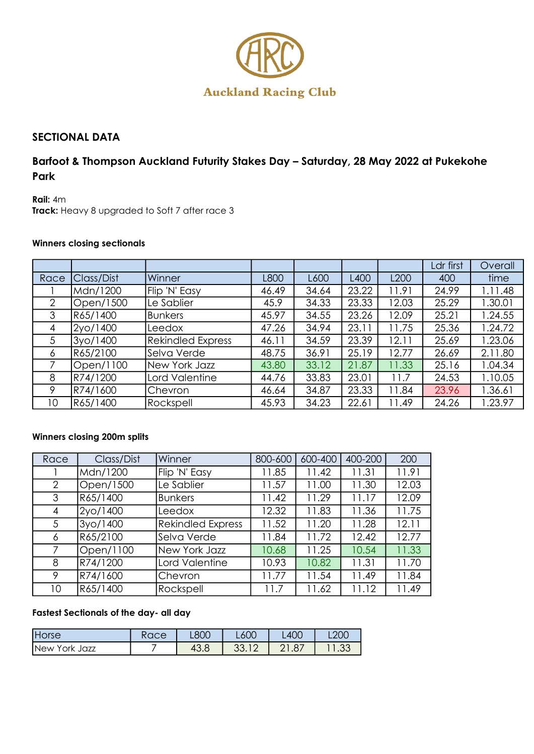

# **SECTIONAL DATA**

# **Barfoot & Thompson Auckland Futurity Stakes Day – Saturday, 28 May 2022 at Pukekohe Park**

**Rail:** 4m **Track:** Heavy 8 upgraded to Soft 7 after race 3

### **Winners closing sectionals**

|      |            |                          |       |       |       |       | Ldr first | Overall |
|------|------------|--------------------------|-------|-------|-------|-------|-----------|---------|
| Race | Class/Dist | Winner                   | L800  | L600  | L400  | L200  | 400       | time    |
|      | Mdn/1200   | Flip 'N' Easy            | 46.49 | 34.64 | 23.22 | 11.91 | 24.99     | .11.48  |
| 2    | Open/1500  | Le Sablier               | 45.9  | 34.33 | 23.33 | 12.03 | 25.29     | .30.01  |
| 3    | R65/1400   | <b>Bunkers</b>           | 45.97 | 34.55 | 23.26 | 12.09 | 25.21     | .24.55  |
| 4    | 2yo/1400   | Leedox                   | 47.26 | 34.94 | 23.11 | 11.75 | 25.36     | .24.72  |
| 5    | 3yo/1400   | <b>Rekindled Express</b> | 46.11 | 34.59 | 23.39 | 12.11 | 25.69     | .23.06  |
| 6    | R65/2100   | Selva Verde              | 48.75 | 36.91 | 25.19 | 12.77 | 26.69     | 2.11.80 |
|      | Open/1100  | New York Jazz            | 43.80 | 33.12 | 21.87 | 11.33 | 25.16     | 1.04.34 |
| 8    | R74/1200   | Lord Valentine           | 44.76 | 33.83 | 23.01 | 11.7  | 24.53     | 1.10.05 |
| 9    | R74/1600   | Chevron                  | 46.64 | 34.87 | 23.33 | 11.84 | 23.96     | 1.36.61 |
| 10   | R65/1400   | Rockspell                | 45.93 | 34.23 | 22.61 | 11.49 | 24.26     | .23.97  |

### **Winners closing 200m splits**

| Race           | Class/Dist | Winner                   | 800-600 | 600-400 | 400-200 | 200   |
|----------------|------------|--------------------------|---------|---------|---------|-------|
|                | Mdn/1200   | Flip 'N' Easy            | 11.85   | 11.42   | 11.31   | 11.91 |
| $\overline{2}$ | Open/1500  | Le Sablier               | 11.57   | 11.00   | 11.30   | 12.03 |
| 3              | R65/1400   | <b>Bunkers</b>           | 11.42   | 11.29   | 11.17   | 12.09 |
| 4              | 2yo/1400   | Leedox                   | 12.32   | 11.83   | 11.36   | 11.75 |
| 5              | 3yo/1400   | <b>Rekindled Express</b> | 11.52   | 11.20   | 11.28   | 12.11 |
| 6              | R65/2100   | Selva Verde              | 11.84   | 11.72   | 12.42   | 12.77 |
| 7              | Open/1100  | New York Jazz            | 10.68   | 11.25   | 10.54   | 11.33 |
| 8              | R74/1200   | Lord Valentine           | 10.93   | 10.82   | 11.31   | 11.70 |
| 9              | R74/1600   | Chevron                  | 11.77   | 11.54   | 11.49   | 11.84 |
| 10             | R65/1400   | Rockspell                | 11.7    | 11.62   | 11.12   | 11.49 |

### **Fastest Sectionals of the day- all day**

| Horse                           | $\overline{\phantom{a}}$<br>いいしい | <b>L80C</b> | L600     | <b>L400</b> | <b>L200</b> |
|---------------------------------|----------------------------------|-------------|----------|-------------|-------------|
| <b>New</b><br>York<br>Jazz<br>ັ |                                  | 43.c        | ົ<br>◡◡. | 1.87<br>∼   | $\sim$<br>ں |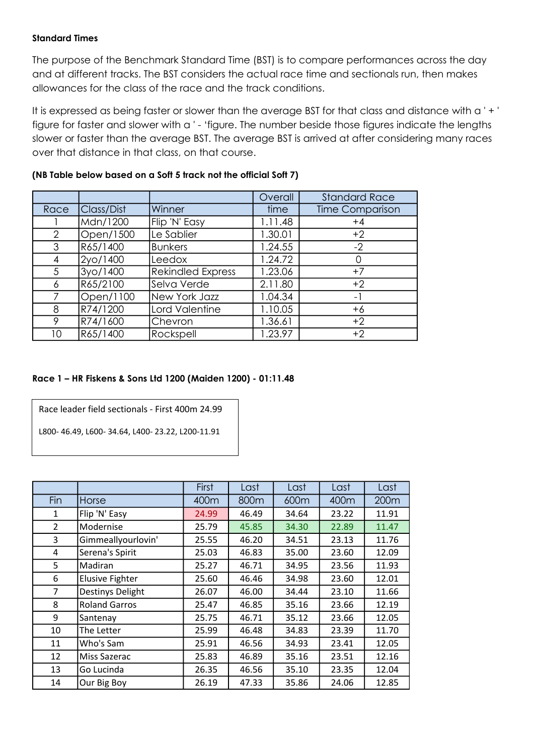#### **Standard Times**

The purpose of the Benchmark Standard Time (BST) is to compare performances across the day and at different tracks. The BST considers the actual race time and sectionals run, then makes allowances for the class of the race and the track conditions.

It is expressed as being faster or slower than the average BST for that class and distance with a ' + ' figure for faster and slower with a ' - 'figure. The number beside those figures indicate the lengths slower or faster than the average BST. The average BST is arrived at after considering many races over that distance in that class, on that course.

|      |            |                          | Overall | <b>Standard Race</b>   |
|------|------------|--------------------------|---------|------------------------|
| Race | Class/Dist | Winner                   | time    | <b>Time Comparison</b> |
|      | Mdn/1200   | Flip 'N' Easy            | 1.11.48 | $+4$                   |
| 2    | Open/1500  | Le Sablier               | 1.30.01 | $+2$                   |
| 3    | R65/1400   | <b>Bunkers</b>           | 1.24.55 | $-2$                   |
| 4    | 2yo/1400   | Leedox                   | 1.24.72 |                        |
| 5    | 3yo/1400   | <b>Rekindled Express</b> | 1.23.06 | $+7$                   |
| 6    | R65/2100   | Selva Verde              | 2.11.80 | $+2$                   |
| 7    | Open/1100  | New York Jazz            | 1.04.34 | $\blacksquare$         |
| 8    | R74/1200   | Lord Valentine           | 1.10.05 | $+6$                   |
| 9    | R74/1600   | Chevron                  | 1.36.61 | $+2$                   |
| 10   | R65/1400   | Rockspell                | 1.23.97 | $+2$                   |

### **(NB Table below based on a Soft 5 track not the official Soft 7)**

#### **Race 1 – HR Fiskens & Sons Ltd 1200 (Maiden 1200) - 01:11.48**

| Race leader field sectionals - First 400m 24.99 |
|-------------------------------------------------|
|                                                 |

L800- 46.49, L600- 34.64, L400- 23.22, L200-11.91

|                |                        | First | Last  | Last  | Last  | Last  |
|----------------|------------------------|-------|-------|-------|-------|-------|
| Fin            | <b>Horse</b>           | 400m  | 800m  | 600m  | 400m  | 200m  |
| 1              | Flip 'N' Easy          | 24.99 | 46.49 | 34.64 | 23.22 | 11.91 |
| $\overline{2}$ | Modernise              | 25.79 | 45.85 | 34.30 | 22.89 | 11.47 |
| 3              | Gimmeallyourlovin'     | 25.55 | 46.20 | 34.51 | 23.13 | 11.76 |
| 4              | Serena's Spirit        | 25.03 | 46.83 | 35.00 | 23.60 | 12.09 |
| 5              | Madiran                | 25.27 | 46.71 | 34.95 | 23.56 | 11.93 |
| 6              | <b>Elusive Fighter</b> | 25.60 | 46.46 | 34.98 | 23.60 | 12.01 |
| $\overline{7}$ | Destinys Delight       | 26.07 | 46.00 | 34.44 | 23.10 | 11.66 |
| 8              | <b>Roland Garros</b>   | 25.47 | 46.85 | 35.16 | 23.66 | 12.19 |
| 9              | Santenay               | 25.75 | 46.71 | 35.12 | 23.66 | 12.05 |
| 10             | The Letter             | 25.99 | 46.48 | 34.83 | 23.39 | 11.70 |
| 11             | Who's Sam              | 25.91 | 46.56 | 34.93 | 23.41 | 12.05 |
| 12             | Miss Sazerac           | 25.83 | 46.89 | 35.16 | 23.51 | 12.16 |
| 13             | Go Lucinda             | 26.35 | 46.56 | 35.10 | 23.35 | 12.04 |
| 14             | Our Big Boy            | 26.19 | 47.33 | 35.86 | 24.06 | 12.85 |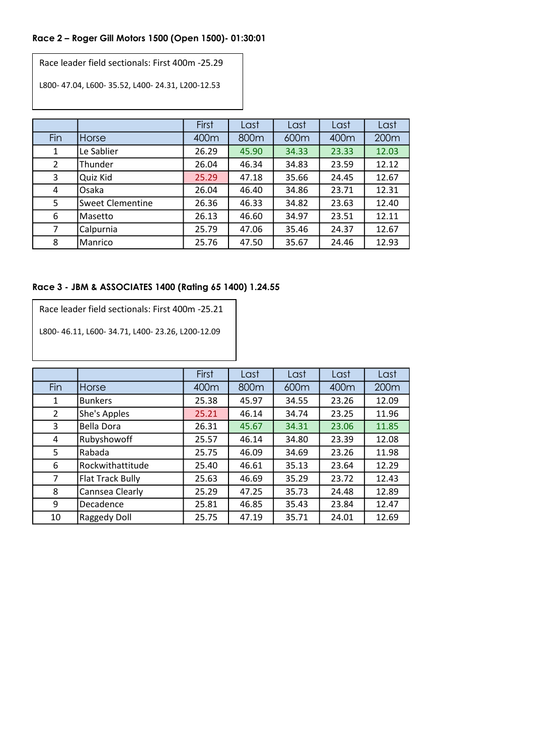# **Race 2 – Roger Gill Motors 1500 (Open 1500)- 01:30:01**

Race leader field sectionals: First 400m -25.29

L800- 47.04, L600- 35.52, L400- 24.31, L200-12.53

|                |                         | First | Last  | Last  | Last  | Last  |
|----------------|-------------------------|-------|-------|-------|-------|-------|
| Fin            | Horse                   | 400m  | 800m  | 600m  | 400m  | 200m  |
| 1              | Le Sablier              | 26.29 | 45.90 | 34.33 | 23.33 | 12.03 |
| $\overline{2}$ | Thunder                 | 26.04 | 46.34 | 34.83 | 23.59 | 12.12 |
| 3              | Quiz Kid                | 25.29 | 47.18 | 35.66 | 24.45 | 12.67 |
| 4              | Osaka                   | 26.04 | 46.40 | 34.86 | 23.71 | 12.31 |
| 5              | <b>Sweet Clementine</b> | 26.36 | 46.33 | 34.82 | 23.63 | 12.40 |
| 6              | lMasetto                | 26.13 | 46.60 | 34.97 | 23.51 | 12.11 |
| 7              | Calpurnia               | 25.79 | 47.06 | 35.46 | 24.37 | 12.67 |
| 8              | Manrico                 | 25.76 | 47.50 | 35.67 | 24.46 | 12.93 |

#### **Race 3 - JBM & ASSOCIATES 1400 (Rating 65 1400) 1.24.55**

| Race leader field sectionals: First 400m -25.21 |
|-------------------------------------------------|
|-------------------------------------------------|

L800- 46.11, L600- 34.71, L400- 23.26, L200-12.09

|                |                         | First | Last  | Last  | Last  | Last  |
|----------------|-------------------------|-------|-------|-------|-------|-------|
| Fin            | Horse                   | 400m  | 800m  | 600m  | 400m  | 200m  |
| 1              | <b>Bunkers</b>          | 25.38 | 45.97 | 34.55 | 23.26 | 12.09 |
| $\overline{2}$ | She's Apples            | 25.21 | 46.14 | 34.74 | 23.25 | 11.96 |
| 3              | Bella Dora              | 26.31 | 45.67 | 34.31 | 23.06 | 11.85 |
| 4              | Rubyshowoff             | 25.57 | 46.14 | 34.80 | 23.39 | 12.08 |
| 5              | Rabada                  | 25.75 | 46.09 | 34.69 | 23.26 | 11.98 |
| 6              | Rockwithattitude        | 25.40 | 46.61 | 35.13 | 23.64 | 12.29 |
| 7              | <b>Flat Track Bully</b> | 25.63 | 46.69 | 35.29 | 23.72 | 12.43 |
| 8              | Cannsea Clearly         | 25.29 | 47.25 | 35.73 | 24.48 | 12.89 |
| 9              | Decadence               | 25.81 | 46.85 | 35.43 | 23.84 | 12.47 |
| 10             | Raggedy Doll            | 25.75 | 47.19 | 35.71 | 24.01 | 12.69 |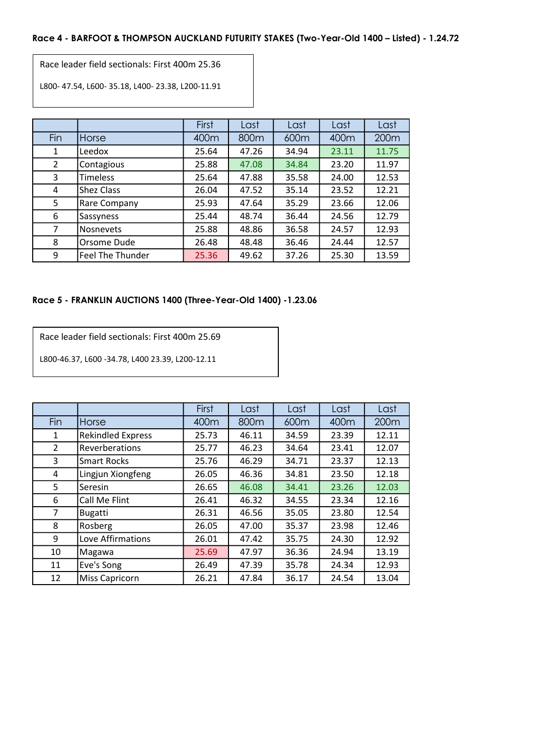#### **Race 4 - BARFOOT & THOMPSON AUCKLAND FUTURITY STAKES (Two-Year-Old 1400 – Listed) - 1.24.72**

Race leader field sectionals: First 400m 25.36

L800- 47.54, L600- 35.18, L400- 23.38, L200-11.91

|                |                  | First | Last  | Last  | Last             | Last  |
|----------------|------------------|-------|-------|-------|------------------|-------|
| Fin            | Horse            | 400m  | 800m  | 600m  | 400 <sub>m</sub> | 200m  |
| 1              | Leedox           | 25.64 | 47.26 | 34.94 | 23.11            | 11.75 |
| $\overline{2}$ | Contagious       | 25.88 | 47.08 | 34.84 | 23.20            | 11.97 |
| 3              | <b>Timeless</b>  | 25.64 | 47.88 | 35.58 | 24.00            | 12.53 |
| 4              | Shez Class       | 26.04 | 47.52 | 35.14 | 23.52            | 12.21 |
| 5              | Rare Company     | 25.93 | 47.64 | 35.29 | 23.66            | 12.06 |
| 6              | Sassyness        | 25.44 | 48.74 | 36.44 | 24.56            | 12.79 |
| 7              | Nosnevets        | 25.88 | 48.86 | 36.58 | 24.57            | 12.93 |
| 8              | Orsome Dude      | 26.48 | 48.48 | 36.46 | 24.44            | 12.57 |
| 9              | Feel The Thunder | 25.36 | 49.62 | 37.26 | 25.30            | 13.59 |

#### **Race 5 - FRANKLIN AUCTIONS 1400 (Three-Year-Old 1400) -1.23.06**

Race leader field sectionals: First 400m 25.69

L800-46.37, L600 -34.78, L400 23.39, L200-12.11

|     |                          | First | Last             | Last  | Last  | Last             |
|-----|--------------------------|-------|------------------|-------|-------|------------------|
| Fin | Horse                    | 400m  | 800 <sub>m</sub> | 600m  | 400m  | 200 <sub>m</sub> |
| 1   | <b>Rekindled Express</b> | 25.73 | 46.11            | 34.59 | 23.39 | 12.11            |
| 2   | Reverberations           | 25.77 | 46.23            | 34.64 | 23.41 | 12.07            |
| 3   | <b>Smart Rocks</b>       | 25.76 | 46.29            | 34.71 | 23.37 | 12.13            |
| 4   | Lingjun Xiongfeng        | 26.05 | 46.36            | 34.81 | 23.50 | 12.18            |
| 5   | Seresin                  | 26.65 | 46.08            | 34.41 | 23.26 | 12.03            |
| 6   | Call Me Flint            | 26.41 | 46.32            | 34.55 | 23.34 | 12.16            |
| 7   | <b>Bugatti</b>           | 26.31 | 46.56            | 35.05 | 23.80 | 12.54            |
| 8   | Rosberg                  | 26.05 | 47.00            | 35.37 | 23.98 | 12.46            |
| 9   | Love Affirmations        | 26.01 | 47.42            | 35.75 | 24.30 | 12.92            |
| 10  | Magawa                   | 25.69 | 47.97            | 36.36 | 24.94 | 13.19            |
| 11  | Eve's Song               | 26.49 | 47.39            | 35.78 | 24.34 | 12.93            |
| 12  | <b>Miss Capricorn</b>    | 26.21 | 47.84            | 36.17 | 24.54 | 13.04            |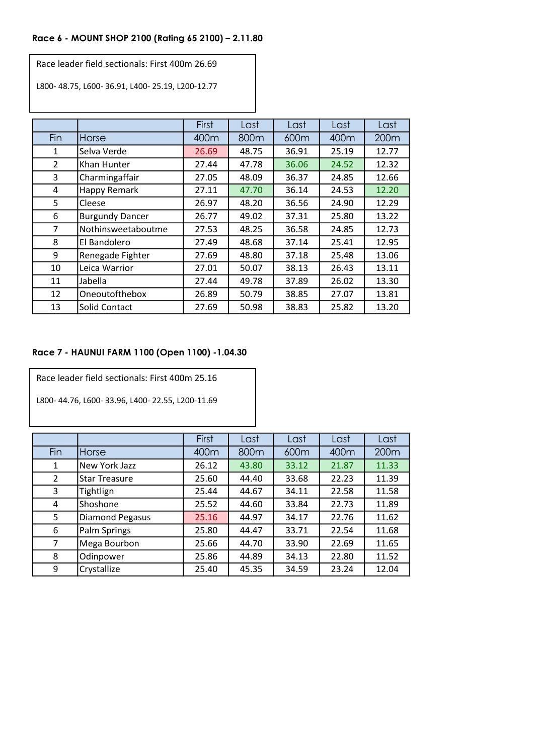# **Race 6 - MOUNT SHOP 2100 (Rating 65 2100) – 2.11.80**

Race leader field sectionals: First 400m 26.69

L800- 48.75, L600- 36.91, L400- 25.19, L200-12.77

|     |                        | First | Last  | Last  | Last  | Last  |
|-----|------------------------|-------|-------|-------|-------|-------|
| Fin | <b>Horse</b>           | 400m  | 800m  | 600m  | 400m  | 200m  |
| 1   | Selva Verde            | 26.69 | 48.75 | 36.91 | 25.19 | 12.77 |
| 2   | Khan Hunter            | 27.44 | 47.78 | 36.06 | 24.52 | 12.32 |
| 3   | Charmingaffair         | 27.05 | 48.09 | 36.37 | 24.85 | 12.66 |
| 4   | Happy Remark           | 27.11 | 47.70 | 36.14 | 24.53 | 12.20 |
| 5   | Cleese                 | 26.97 | 48.20 | 36.56 | 24.90 | 12.29 |
| 6   | <b>Burgundy Dancer</b> | 26.77 | 49.02 | 37.31 | 25.80 | 13.22 |
| 7   | Nothinsweetaboutme     | 27.53 | 48.25 | 36.58 | 24.85 | 12.73 |
| 8   | El Bandolero           | 27.49 | 48.68 | 37.14 | 25.41 | 12.95 |
| 9   | Renegade Fighter       | 27.69 | 48.80 | 37.18 | 25.48 | 13.06 |
| 10  | Leica Warrior          | 27.01 | 50.07 | 38.13 | 26.43 | 13.11 |
| 11  | Jabella                | 27.44 | 49.78 | 37.89 | 26.02 | 13.30 |
| 12  | Oneoutofthebox         | 26.89 | 50.79 | 38.85 | 27.07 | 13.81 |
| 13  | Solid Contact          | 27.69 | 50.98 | 38.83 | 25.82 | 13.20 |

# **Race 7 - HAUNUI FARM 1100 (Open 1100) -1.04.30**

Race leader field sectionals: First 400m 25.16

L800- 44.76, L600- 33.96, L400- 22.55, L200-11.69

|     |                        | First | Last  | Last  | Last  | Last  |
|-----|------------------------|-------|-------|-------|-------|-------|
| Fin | Horse                  | 400m  | 800m  | 600m  | 400m  | 200m  |
| 1   | New York Jazz          | 26.12 | 43.80 | 33.12 | 21.87 | 11.33 |
| 2   | <b>Star Treasure</b>   | 25.60 | 44.40 | 33.68 | 22.23 | 11.39 |
| 3   | Tightlign              | 25.44 | 44.67 | 34.11 | 22.58 | 11.58 |
| 4   | Shoshone               | 25.52 | 44.60 | 33.84 | 22.73 | 11.89 |
| 5   | <b>Diamond Pegasus</b> | 25.16 | 44.97 | 34.17 | 22.76 | 11.62 |
| 6   | Palm Springs           | 25.80 | 44.47 | 33.71 | 22.54 | 11.68 |
| 7   | Mega Bourbon           | 25.66 | 44.70 | 33.90 | 22.69 | 11.65 |
| 8   | Odinpower              | 25.86 | 44.89 | 34.13 | 22.80 | 11.52 |
| 9   | Crystallize            | 25.40 | 45.35 | 34.59 | 23.24 | 12.04 |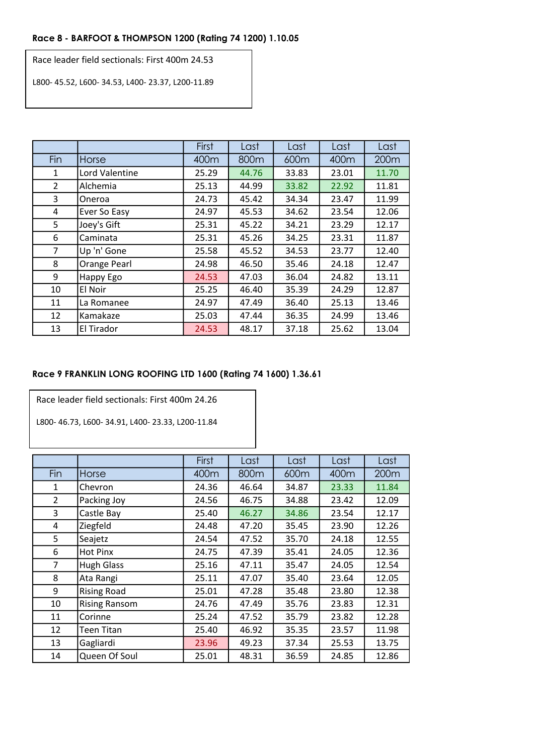# **Race 8 - BARFOOT & THOMPSON 1200 (Rating 74 1200) 1.10.05**

Race leader field sectionals: First 400m 24.53

L800- 45.52, L600- 34.53, L400- 23.37, L200-11.89

|                |                | First | Last  | Last  | Last  | Last  |
|----------------|----------------|-------|-------|-------|-------|-------|
| Fin            | Horse          | 400m  | 800m  | 600m  | 400m  | 200m  |
| 1              | Lord Valentine | 25.29 | 44.76 | 33.83 | 23.01 | 11.70 |
| $\overline{2}$ | Alchemia       | 25.13 | 44.99 | 33.82 | 22.92 | 11.81 |
| 3              | Oneroa         | 24.73 | 45.42 | 34.34 | 23.47 | 11.99 |
| 4              | Ever So Easy   | 24.97 | 45.53 | 34.62 | 23.54 | 12.06 |
| 5              | Joey's Gift    | 25.31 | 45.22 | 34.21 | 23.29 | 12.17 |
| 6              | Caminata       | 25.31 | 45.26 | 34.25 | 23.31 | 11.87 |
| $\overline{7}$ | Up 'n' Gone    | 25.58 | 45.52 | 34.53 | 23.77 | 12.40 |
| 8              | Orange Pearl   | 24.98 | 46.50 | 35.46 | 24.18 | 12.47 |
| 9              | Happy Ego      | 24.53 | 47.03 | 36.04 | 24.82 | 13.11 |
| 10             | El Noir        | 25.25 | 46.40 | 35.39 | 24.29 | 12.87 |
| 11             | La Romanee     | 24.97 | 47.49 | 36.40 | 25.13 | 13.46 |
| 12             | Kamakaze       | 25.03 | 47.44 | 36.35 | 24.99 | 13.46 |
| 13             | El Tirador     | 24.53 | 48.17 | 37.18 | 25.62 | 13.04 |

# **Race 9 FRANKLIN LONG ROOFING LTD 1600 (Rating 74 1600) 1.36.61**

Race leader field sectionals: First 400m 24.26

L800- 46.73, L600- 34.91, L400- 23.33, L200-11.84

|                |                      | First | Last  | Last  | Last  | Last  |
|----------------|----------------------|-------|-------|-------|-------|-------|
| Fin            | Horse                | 400m  | 800m  | 600m  | 400m  | 200m  |
| 1              | Chevron              | 24.36 | 46.64 | 34.87 | 23.33 | 11.84 |
| 2              | Packing Joy          | 24.56 | 46.75 | 34.88 | 23.42 | 12.09 |
| 3              | Castle Bay           | 25.40 | 46.27 | 34.86 | 23.54 | 12.17 |
| 4              | Ziegfeld             | 24.48 | 47.20 | 35.45 | 23.90 | 12.26 |
| 5              | Seajetz              | 24.54 | 47.52 | 35.70 | 24.18 | 12.55 |
| 6              | Hot Pinx             | 24.75 | 47.39 | 35.41 | 24.05 | 12.36 |
| $\overline{7}$ | <b>Hugh Glass</b>    | 25.16 | 47.11 | 35.47 | 24.05 | 12.54 |
| 8              | Ata Rangi            | 25.11 | 47.07 | 35.40 | 23.64 | 12.05 |
| 9              | <b>Rising Road</b>   | 25.01 | 47.28 | 35.48 | 23.80 | 12.38 |
| 10             | <b>Rising Ransom</b> | 24.76 | 47.49 | 35.76 | 23.83 | 12.31 |
| 11             | Corinne              | 25.24 | 47.52 | 35.79 | 23.82 | 12.28 |
| 12             | <b>Teen Titan</b>    | 25.40 | 46.92 | 35.35 | 23.57 | 11.98 |
| 13             | Gagliardi            | 23.96 | 49.23 | 37.34 | 25.53 | 13.75 |
| 14             | Queen Of Soul        | 25.01 | 48.31 | 36.59 | 24.85 | 12.86 |